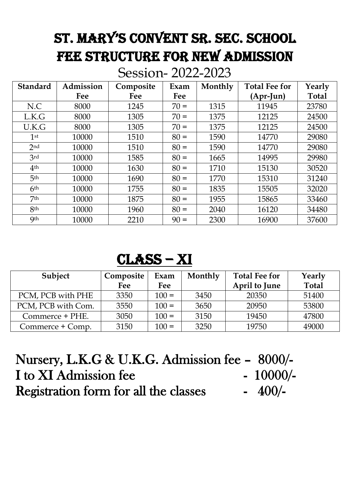## ST. MARY'S CONVENT SR. SEC. SCHOOL FEE STRUCTURE FOR NEW ADMISSION

Session- 2022-2023

| <b>Standard</b> | Admission | Composite | Exam   | Monthly | <b>Total Fee for</b> | Yearly       |
|-----------------|-----------|-----------|--------|---------|----------------------|--------------|
|                 | Fee       | Fee       | Fee    |         | $(Apr-Iun)$          | <b>Total</b> |
| N.C             | 8000      | 1245      | $70 =$ | 1315    | 11945                | 23780        |
| L.K.G           | 8000      | 1305      | $70 =$ | 1375    | 12125                | 24500        |
| U.K.G           | 8000      | 1305      | $70 =$ | 1375    | 12125                | 24500        |
| 1 <sup>st</sup> | 10000     | 1510      | $80 =$ | 1590    | 14770                | 29080        |
| 2 <sub>nd</sub> | 10000     | 1510      | $80 =$ | 1590    | 14770                | 29080        |
| 3rd             | 10000     | 1585      | $80 =$ | 1665    | 14995                | 29980        |
| 4 <sup>th</sup> | 10000     | 1630      | $80 =$ | 1710    | 15130                | 30520        |
| 5 <sup>th</sup> | 10000     | 1690      | $80 =$ | 1770    | 15310                | 31240        |
| 6 <sup>th</sup> | 10000     | 1755      | $80 =$ | 1835    | 15505                | 32020        |
| 7 <sup>th</sup> | 10000     | 1875      | $80 =$ | 1955    | 15865                | 33460        |
| 8 <sup>th</sup> | 10000     | 1960      | $80 =$ | 2040    | 16120                | 34480        |
| <b>9th</b>      | 10000     | 2210      | $90 =$ | 2300    | 16900                | 37600        |

## Class – XI

| Subject            | Composite<br>Fee | Exam<br>Fee | Monthly | <b>Total Fee for</b><br>April to June | Yearly<br><b>Total</b> |
|--------------------|------------------|-------------|---------|---------------------------------------|------------------------|
| PCM, PCB with PHE  | 3350             | $100 =$     | 3450    | 20350                                 | 51400                  |
| PCM, PCB with Com. | 3550             | $100 =$     | 3650    | 20950                                 | 53800                  |
| Commerce + PHE.    | 3050             | $100 =$     | 3150    | 19450                                 | 47800                  |
| Commerce + Comp.   | 3150             | $100 =$     | 3250    | 19750                                 | 49000                  |

| Nursery, L.K.G & U.K.G. Admission fee - 8000/- |            |
|------------------------------------------------|------------|
| I to XI Admission fee                          | $-10000/-$ |
| <b>Registration form for all the classes</b>   | $-400/$    |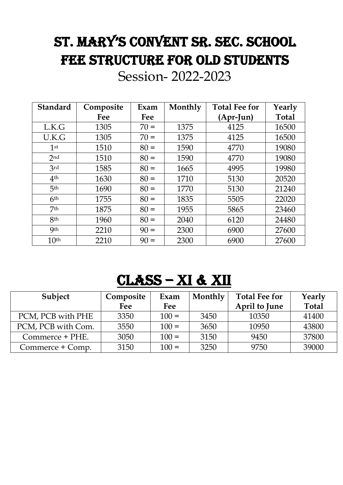## ST. MARY'S CONVENT SR. SEC. SCHOOL FEE STRUCTURE FOR OLD STUDENTS

Session- 2022-2023

| <b>Standard</b>  | Composite | Exam   | Monthly | <b>Total Fee for</b> | Yearly       |
|------------------|-----------|--------|---------|----------------------|--------------|
|                  | Fee       | Fee    |         | $(Apr-Iun)$          | <b>Total</b> |
| L.K.G            | 1305      | $70 =$ | 1375    | 4125                 | 16500        |
| U.K.G            | 1305      | $70 =$ | 1375    | 4125                 | 16500        |
| 1 <sup>st</sup>  | 1510      | $80 =$ | 1590    | 4770                 | 19080        |
| 2nd              | 1510      | $80 =$ | 1590    | 4770                 | 19080        |
| 3rd              | 1585      | $80 =$ | 1665    | 4995                 | 19980        |
| 4 <sup>th</sup>  | 1630      | $80 =$ | 1710    | 5130                 | 20520        |
| 5 <sup>th</sup>  | 1690      | $80 =$ | 1770    | 5130                 | 21240        |
| 6 <sup>th</sup>  | 1755      | $80 =$ | 1835    | 5505                 | 22020        |
| 7 <sup>th</sup>  | 1875      | $80 =$ | 1955    | 5865                 | 23460        |
| 8 <sub>th</sub>  | 1960      | $80 =$ | 2040    | 6120                 | 24480        |
| <b>9th</b>       | 2210      | $90 =$ | 2300    | 6900                 | 27600        |
| 10 <sup>th</sup> | 2210      | $90 =$ | 2300    | 6900                 | 27600        |

## Class – XI & XII

| Subject            | Composite | Exam    | Monthly | <b>Total Fee for</b> | Yearly       |
|--------------------|-----------|---------|---------|----------------------|--------------|
|                    | Fee       | Fee     |         | April to June        | <b>Total</b> |
| PCM, PCB with PHE  | 3350      | $100 =$ | 3450    | 10350                | 41400        |
| PCM, PCB with Com. | 3550      | $100 =$ | 3650    | 10950                | 43800        |
| Commerce + PHE.    | 3050      | $100 =$ | 3150    | 9450                 | 37800        |
| Commerce + Comp.   | 3150      | $100 =$ | 3250    | 9750                 | 39000        |